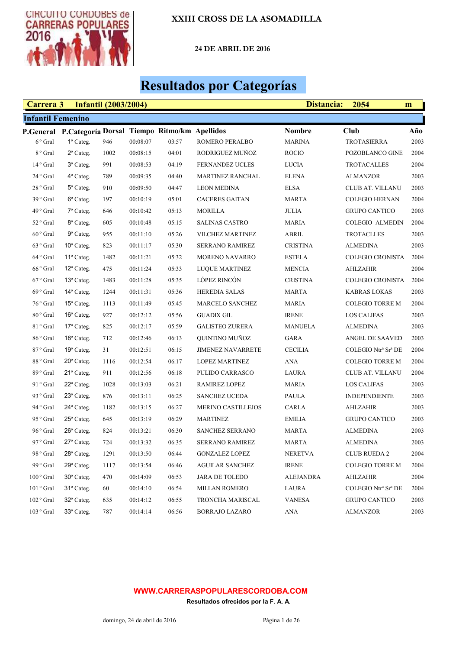

24 DE ABRIL DE 2016

# Resultados por Categorías

| Carrera 3                |                                                        | <b>Infantil (2003/2004)</b> |          |       | 2054<br>Distancia:<br>m   |                 |                         |      |
|--------------------------|--------------------------------------------------------|-----------------------------|----------|-------|---------------------------|-----------------|-------------------------|------|
| <b>Infantil Femenino</b> |                                                        |                             |          |       |                           |                 |                         |      |
|                          | P.General P.Categoría Dorsal Tiempo Ritmo/km Apellidos |                             |          |       |                           | <b>Nombre</b>   | <b>Club</b>             | Año  |
| $6°$ Gral                | 1º Categ.                                              | 946                         | 00:08:07 | 03:57 | ROMERO PERALBO            | <b>MARINA</b>   | <b>TROTASIERRA</b>      | 2003 |
| 8 <sup>°</sup> Gral      | $2^{\circ}$ Categ.                                     | 1002                        | 00:08:15 | 04:01 | RODRIGUEZ MUÑOZ           | <b>ROCIO</b>    | POZOBLANCO GINE         | 2004 |
| $14°$ Gral               | 3º Categ.                                              | 991                         | 00:08:53 | 04:19 | <b>FERNANDEZ UCLES</b>    | <b>LUCIA</b>    | <b>TROTACALLES</b>      | 2004 |
| 24 ° Gral                | 4° Categ.                                              | 789                         | 00:09:35 | 04:40 | MARTINEZ RANCHAL          | <b>ELENA</b>    | <b>ALMANZOR</b>         | 2003 |
| 28 <sup>°</sup> Gral     | 5° Categ.                                              | 910                         | 00:09:50 | 04:47 | <b>LEON MEDINA</b>        | <b>ELSA</b>     | CLUB AT. VILLANU        | 2003 |
| 39° Gral                 | 6° Categ.                                              | 197                         | 00:10:19 | 05:01 | <b>CACERES GAITAN</b>     | <b>MARTA</b>    | <b>COLEGIO HERNAN</b>   | 2004 |
| 49 <sup>°</sup> Gral     | $7^\circ$ Categ.                                       | 646                         | 00:10:42 | 05:13 | <b>MORILLA</b>            | <b>JULIA</b>    | <b>GRUPO CANTICO</b>    | 2003 |
| 52 <sup>°</sup> Gral     | 8° Categ.                                              | 605                         | 00:10:48 | 05:15 | <b>SALINAS CASTRO</b>     | <b>MARIA</b>    | <b>COLEGIO ALMEDIN</b>  | 2004 |
| 60° Gral                 | $9^{\circ}$ Categ.                                     | 955                         | 00:11:10 | 05:26 | <b>VILCHEZ MARTINEZ</b>   | ABRIL           | <b>TROTACLLES</b>       | 2003 |
| 63 <sup>°</sup> Gral     | $10^{\circ}$ Categ.                                    | 823                         | 00:11:17 | 05:30 | <b>SERRANO RAMIREZ</b>    | <b>CRISTINA</b> | <b>ALMEDINA</b>         | 2003 |
| 64 <sup>°</sup> Gral     | 11º Categ.                                             | 1482                        | 00:11:21 | 05:32 | MORENO NAVARRO            | <b>ESTELA</b>   | <b>COLEGIO CRONISTA</b> | 2004 |
| 66 <sup>°</sup> Gral     | 12° Categ.                                             | 475                         | 00:11:24 | 05:33 | <b>LUQUE MARTINEZ</b>     | <b>MENCIA</b>   | <b>AHLZAHIR</b>         | 2004 |
| 67° Gral                 | 13° Categ.                                             | 1483                        | 00:11:28 | 05:35 | LÓPEZ RINCÓN              | <b>CRISTINA</b> | <b>COLEGIO CRONISTA</b> | 2004 |
| 69 <sup>°</sup> Gral     | $14^{\circ}$ Categ.                                    | 1244                        | 00:11:31 | 05:36 | <b>HEREDIA SALAS</b>      | <b>MARTA</b>    | <b>KABRAS LOKAS</b>     | 2003 |
| 76 <sup>°</sup> Gral     | 15° Categ.                                             | 1113                        | 00:11:49 | 05:45 | MARCELO SANCHEZ           | <b>MARIA</b>    | <b>COLEGIO TORRE M</b>  | 2004 |
| 80 <sup>°</sup> Gral     | 16° Categ.                                             | 927                         | 00:12:12 | 05:56 | <b>GUADIX GIL</b>         | <b>IRENE</b>    | <b>LOS CALIFAS</b>      | 2003 |
| 81° Gral                 | 17° Categ.                                             | 825                         | 00:12:17 | 05:59 | <b>GALISTEO ZURERA</b>    | <b>MANUELA</b>  | <b>ALMEDINA</b>         | 2003 |
| 86 <sup>°</sup> Gral     | $18^{\circ}$ Categ.                                    | 712                         | 00:12:46 | 06:13 | QUINTINO MUÑOZ            | <b>GARA</b>     | ANGEL DE SAAVED         | 2003 |
| 87° Gral                 | 19° Categ.                                             | 31                          | 00:12:51 | 06:15 | <b>JIMENEZ NAVARRETE</b>  | <b>CECILIA</b>  | COLEGIO Ntrª Srª DE     | 2004 |
| 88 <sup>°</sup> Gral     | 20° Categ.                                             | 1116                        | 00:12:54 | 06:17 | <b>LOPEZ MARTINEZ</b>     | ANA             | <b>COLEGIO TORRE M</b>  | 2004 |
| 89° Gral                 | 21° Categ.                                             | 911                         | 00:12:56 | 06:18 | PULIDO CARRASCO           | LAURA           | CLUB AT. VILLANU        | 2004 |
| 91 ° Gral                | $22^{\circ}$ Categ.                                    | 1028                        | 00:13:03 | 06:21 | RAMIREZ LOPEZ             | <b>MARIA</b>    | <b>LOS CALIFAS</b>      | 2003 |
| 93 ° Gral                | 23° Categ.                                             | 876                         | 00:13:11 | 06:25 | <b>SANCHEZ UCEDA</b>      | PAULA           | <b>INDEPENDIENTE</b>    | 2003 |
| 94 ° Gral                | 24° Categ.                                             | 1182                        | 00:13:15 | 06:27 | <b>MERINO CASTILLEJOS</b> | CARLA           | <b>AHLZAHIR</b>         | 2003 |
| 95 ° Gral                | 25° Categ.                                             | 645                         | 00:13:19 | 06:29 | <b>MARTINEZ</b>           | <b>EMILIA</b>   | <b>GRUPO CANTICO</b>    | 2003 |
| 96 <sup>°</sup> Gral     | 26° Categ.                                             | 824                         | 00:13:21 | 06:30 | SANCHEZ SERRANO           | <b>MARTA</b>    | <b>ALMEDINA</b>         | 2003 |
| 97° Gral                 | $27^\circ$ Categ.                                      | 724                         | 00:13:32 | 06:35 | SERRANO RAMIREZ           | <b>MARTA</b>    | <b>ALMEDINA</b>         | 2003 |
| 98 ° Gral                | 28° Categ.                                             | 1291                        | 00:13:50 | 06:44 | <b>GONZALEZ LOPEZ</b>     | <b>NERETVA</b>  | <b>CLUB RUEDA 2</b>     | 2004 |
| 99 ° Gral                | $29^{\circ}$ Categ.                                    | 1117                        | 00:13:54 | 06:46 | <b>AGUILAR SANCHEZ</b>    | <b>IRENE</b>    | <b>COLEGIO TORRE M</b>  | 2004 |
| 100° Gral                | $30^\circ$ Categ.                                      | 470                         | 00:14:09 | 06:53 | <b>JARA DE TOLEDO</b>     | ALEJANDRA       | <b>AHLZAHIR</b>         | 2004 |
| 101° Gral                | 31° Categ.                                             | 60                          | 00:14:10 | 06:54 | <b>MILLAN ROMERO</b>      | LAURA           | COLEGIO Ntrª Srª DE     | 2004 |
| 102° Gral                | 32° Categ.                                             | 635                         | 00:14:12 | 06:55 | TRONCHA MARISCAL          | <b>VANESA</b>   | <b>GRUPO CANTICO</b>    | 2003 |
| $103°$ Gral              | 33° Categ.                                             | 787                         | 00:14:14 | 06:56 | <b>BORRAJO LAZARO</b>     | <b>ANA</b>      | <b>ALMANZOR</b>         | 2003 |

#### WWW.CARRERASPOPULARESCORDOBA.COM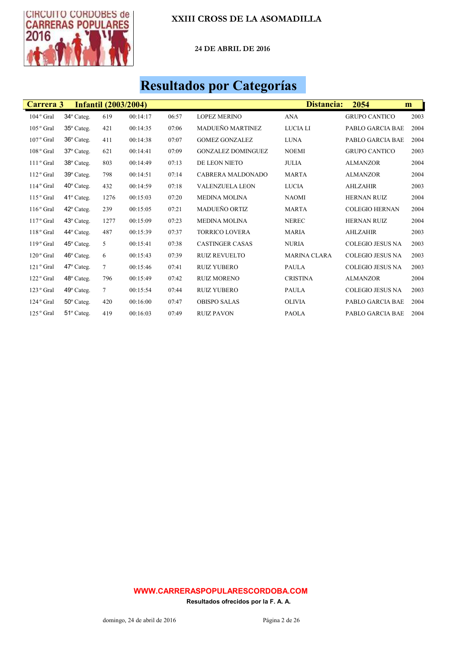

24 DE ABRIL DE 2016

# Resultados por Categorías

| Carrera 3            |                     | <b>Infantil (2003/2004)</b> |          |       |                           | Distancia:          | 2054                    | m    |
|----------------------|---------------------|-----------------------------|----------|-------|---------------------------|---------------------|-------------------------|------|
| $104°$ Gral          | 34° Categ.          | 619                         | 00:14:17 | 06:57 | <b>LOPEZ MERINO</b>       | <b>ANA</b>          | <b>GRUPO CANTICO</b>    | 2003 |
| $105\,^{\rm o}$ Gral | 35° Categ.          | 421                         | 00:14:35 | 07:06 | <b>MADUEÑO MARTINEZ</b>   | LUCIA LI            | <b>PABLO GARCIA BAE</b> | 2004 |
| 107° Gral            | 36° Categ.          | 411                         | 00:14:38 | 07:07 | <b>GOMEZ GONZALEZ</b>     | <b>LUNA</b>         | <b>PABLO GARCIA BAE</b> | 2004 |
| 108° Gral            | 37° Categ.          | 621                         | 00:14:41 | 07:09 | <b>GONZALEZ DOMINGUEZ</b> | <b>NOEMI</b>        | <b>GRUPO CANTICO</b>    | 2003 |
| $111°$ Gral          | 38° Categ.          | 803                         | 00:14:49 | 07:13 | DE LEON NIETO             | <b>JULIA</b>        | <b>ALMANZOR</b>         | 2004 |
| 112° Gral            | 39° Categ.          | 798                         | 00:14:51 | 07:14 | CABRERA MALDONADO         | <b>MARTA</b>        | <b>ALMANZOR</b>         | 2004 |
| $114°$ Gral          | $40^\circ$ Categ.   | 432                         | 00:14:59 | 07:18 | <b>VALENZUELA LEON</b>    | <b>LUCIA</b>        | <b>AHLZAHIR</b>         | 2003 |
| 115° Gral            | $41^\circ$ Categ.   | 1276                        | 00:15:03 | 07:20 | <b>MEDINA MOLINA</b>      | <b>NAOMI</b>        | <b>HERNAN RUIZ</b>      | 2004 |
| 116° Gral            | $42^{\circ}$ Categ. | 239                         | 00:15:05 | 07:21 | <b>MADUEÑO ORTIZ</b>      | <b>MARTA</b>        | <b>COLEGIO HERNAN</b>   | 2004 |
| $117°$ Gral          | 43° Categ.          | 1277                        | 00:15:09 | 07:23 | <b>MEDINA MOLINA</b>      | <b>NEREC</b>        | <b>HERNAN RUIZ</b>      | 2004 |
| $118°$ Gral          | $44^{\circ}$ Categ. | 487                         | 00:15:39 | 07:37 | <b>TORRICO LOVERA</b>     | <b>MARIA</b>        | <b>AHLZAHIR</b>         | 2003 |
| $119°$ Gral          | $45^\circ$ Categ.   | 5                           | 00:15:41 | 07:38 | <b>CASTINGER CASAS</b>    | <b>NURIA</b>        | <b>COLEGIO JESUS NA</b> | 2003 |
| $120o$ Gral          | $46^\circ$ Categ.   | 6                           | 00:15:43 | 07:39 | <b>RUIZ REVUELTO</b>      | <b>MARINA CLARA</b> | <b>COLEGIO JESUS NA</b> | 2003 |
| $121°$ Gral          | $47^\circ$ Categ.   | $\tau$                      | 00:15:46 | 07:41 | <b>RUIZ YUBERO</b>        | <b>PAULA</b>        | <b>COLEGIO JESUS NA</b> | 2003 |
| 122° Gral            | 48° Categ.          | 796                         | 00:15:49 | 07:42 | <b>RUIZ MORENO</b>        | <b>CRISTINA</b>     | <b>ALMANZOR</b>         | 2004 |
| $123°$ Gral          | $49^\circ$ Categ.   | $7\phantom{.0}$             | 00:15:54 | 07:44 | <b>RUIZ YUBERO</b>        | <b>PAULA</b>        | <b>COLEGIO JESUS NA</b> | 2003 |
| $124°$ Gral          | $50^\circ$ Categ.   | 420                         | 00:16:00 | 07:47 | <b>OBISPO SALAS</b>       | <b>OLIVIA</b>       | <b>PABLO GARCIA BAE</b> | 2004 |
| $125°$ Gral          | 51º Categ.          | 419                         | 00:16:03 | 07:49 | <b>RUIZ PAVON</b>         | <b>PAOLA</b>        | PABLO GARCIA BAE        | 2004 |

#### WWW.CARRERASPOPULARESCORDOBA.COM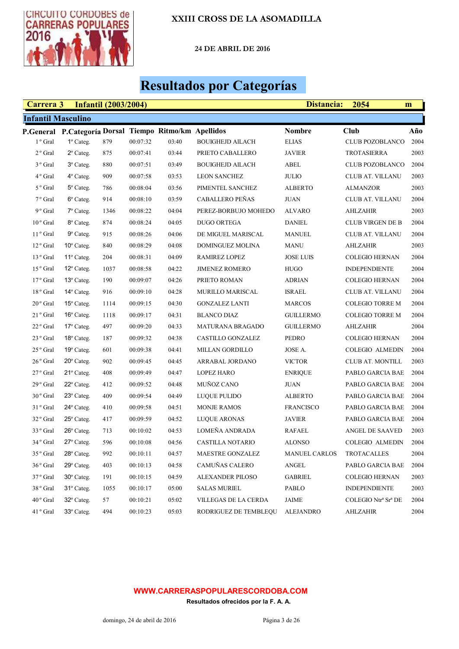

24 DE ABRIL DE 2016

# Resultados por Categorías

| Carrera 3                 |                                                        | <b>Infantil (2003/2004)</b> |          |       | 2054<br>Distancia:<br>m |                      |                         |      |
|---------------------------|--------------------------------------------------------|-----------------------------|----------|-------|-------------------------|----------------------|-------------------------|------|
| <b>Infantil Masculino</b> |                                                        |                             |          |       |                         |                      |                         |      |
|                           | P.General P.Categoría Dorsal Tiempo Ritmo/km Apellidos |                             |          |       |                         | <b>Nombre</b>        | Club                    | Año  |
| 1 <sup>°</sup> Gral       | $1^\circ$ Categ.                                       | 879                         | 00:07:32 | 03:40 | <b>BOUIGHEJD AILACH</b> | <b>ELIAS</b>         | <b>CLUB POZOBLANCO</b>  | 2004 |
| 2 <sup>°</sup> Gral       | $2^{\circ}$ Categ.                                     | 875                         | 00:07:41 | 03:44 | PRIETO CABALLERO        | <b>JAVIER</b>        | <b>TROTASIERRA</b>      | 2003 |
| 3 <sup>°</sup> Gral       | $3^\circ$ Categ.                                       | 880                         | 00:07:51 | 03:49 | <b>BOUIGHEJD AILACH</b> | ABEL                 | <b>CLUB POZOBLANCO</b>  | 2004 |
| 4 <sup>°</sup> Gral       | $4^\circ$ Categ.                                       | 909                         | 00:07:58 | 03:53 | <b>LEON SANCHEZ</b>     | <b>JULIO</b>         | CLUB AT. VILLANU        | 2003 |
| 5 <sup>°</sup> Gral       | 5° Categ.                                              | 786                         | 00:08:04 | 03:56 | PIMENTEL SANCHEZ        | <b>ALBERTO</b>       | <b>ALMANZOR</b>         | 2003 |
| 7 <sup>°</sup> Gral       | 6° Categ.                                              | 914                         | 00:08:10 | 03:59 | CABALLERO PEÑAS         | <b>JUAN</b>          | CLUB AT. VILLANU        | 2004 |
| 9 <sup>°</sup> Gral       | 7º Categ.                                              | 1346                        | 00:08:22 | 04:04 | PEREZ-BORBUJO MOHEDO    | ALVARO               | <b>AHLZAHIR</b>         | 2003 |
| $10°$ Gral                | 8° Categ.                                              | 874                         | 00:08:24 | 04:05 | <b>DUGO ORTEGA</b>      | <b>DANIEL</b>        | <b>CLUB VIRGEN DE B</b> | 2004 |
| $11°$ Gral                | $9^\circ$ Categ.                                       | 915                         | 00:08:26 | 04:06 | DE MIGUEL MARISCAL      | <b>MANUEL</b>        | CLUB AT. VILLANU        | 2004 |
| $12o$ Gral                | $10^{\circ}$ Categ.                                    | 840                         | 00:08:29 | 04:08 | DOMINGUEZ MOLINA        | <b>MANU</b>          | <b>AHLZAHIR</b>         | 2003 |
| $13°$ Gral                | 11º Categ.                                             | 204                         | 00:08:31 | 04:09 | RAMIREZ LOPEZ           | <b>JOSE LUIS</b>     | <b>COLEGIO HERNAN</b>   | 2004 |
| $15°$ Gral                | 12° Categ.                                             | 1037                        | 00:08:58 | 04:22 | <b>JIMENEZ ROMERO</b>   | <b>HUGO</b>          | <b>INDEPENDIENTE</b>    | 2004 |
| $17°$ Gral                | 13° Categ.                                             | 190                         | 00:09:07 | 04:26 | PRIETO ROMAN            | <b>ADRIAN</b>        | <b>COLEGIO HERNAN</b>   | 2004 |
| 18 <sup>°</sup> Gral      | $14^{\circ}$ Categ.                                    | 916                         | 00:09:10 | 04:28 | MURILLO MARISCAL        | <b>ISRAEL</b>        | CLUB AT. VILLANU        | 2004 |
| $20^{\circ}$ Gral         | 15° Categ.                                             | 1114                        | 00:09:15 | 04:30 | <b>GONZALEZ LANTI</b>   | <b>MARCOS</b>        | <b>COLEGIO TORRE M</b>  | 2004 |
| $21°$ Gral                | 16° Categ.                                             | 1118                        | 00:09:17 | 04:31 | <b>BLANCO DIAZ</b>      | GUILLERMO            | <b>COLEGIO TORRE M</b>  | 2004 |
| $22^{\circ}$ Gral         | $17°$ Categ.                                           | 497                         | 00:09:20 | 04:33 | <b>MATURANA BRAGADO</b> | <b>GUILLERMO</b>     | <b>AHLZAHIR</b>         | 2004 |
| $23^{\circ}$ Gral         | $18^{\circ}$ Categ.                                    | 187                         | 00:09:32 | 04:38 | CASTILLO GONZALEZ       | PEDRO                | <b>COLEGIO HERNAN</b>   | 2004 |
| $25^{\circ}$ Gral         | 19° Categ.                                             | 601                         | 00:09:38 | 04:41 | MILLAN GORDILLO         | JOSE A.              | <b>COLEGIO ALMEDIN</b>  | 2004 |
| $26^{\circ}$ Gral         | $20^{\circ}$ Categ.                                    | 902                         | 00:09:45 | 04:45 | ARRABAL JORDANO         | <b>VICTOR</b>        | <b>CLUB AT. MONTILL</b> | 2003 |
| $27°$ Gral                | 21° Categ.                                             | 408                         | 00:09:49 | 04:47 | <b>LOPEZ HARO</b>       | <b>ENRIQUE</b>       | PABLO GARCIA BAE        | 2004 |
| 29 <sup>°</sup> Gral      | $22^{\circ}$ Categ.                                    | 412                         | 00:09:52 | 04:48 | MUÑOZ CANO              | <b>JUAN</b>          | PABLO GARCIA BAE        | 2004 |
| 30° Gral                  | 23° Categ.                                             | 409                         | 00:09:54 | 04:49 | LUQUE PULIDO            | <b>ALBERTO</b>       | PABLO GARCIA BAE        | 2004 |
| 31 <sup>°</sup> Gral      | $24^{\circ}$ Categ.                                    | 410                         | 00:09:58 | 04:51 | <b>MONJE RAMOS</b>      | <b>FRANCISCO</b>     | PABLO GARCIA BAE        | 2004 |
| 32° Gral                  | $25^\circ$ Categ.                                      | 417                         | 00:09:59 | 04:52 | <b>LUQUE ARONAS</b>     | <b>JAVIER</b>        | PABLO GARCIA BAE        | 2004 |
| 33 <sup>°</sup> Gral      | $26^{\circ}$ Categ.                                    | 713                         | 00:10:02 | 04:53 | LOMEÑA ANDRADA          | <b>RAFAEL</b>        | ANGEL DE SAAVED         | 2003 |
| 34° Gral                  | $27^\circ$ Categ.                                      | 596                         | 00:10:08 | 04:56 | CASTILLA NOTARIO        | <b>ALONSO</b>        | COLEGIO ALMEDIN         | 2004 |
| 35 <sup>°</sup> Gral      | $28^{\circ}$ Categ.                                    | 992                         | 00:10:11 | 04:57 | <b>MAESTRE GONZALEZ</b> | <b>MANUEL CARLOS</b> | <b>TROTACALLES</b>      | 2004 |
| 36° Gral                  | $29^\circ$ Categ.                                      | 403                         | 00:10:13 | 04:58 | CAMUÑAS CALERO          | ANGEL                | PABLO GARCIA BAE        | 2004 |
| 37° Gral                  | 30° Categ.                                             | 191                         | 00:10:15 | 04:59 | ALEXANDER PILOSO        | <b>GABRIEL</b>       | <b>COLEGIO HERNAN</b>   | 2003 |
| 38° Gral                  | 31° Categ.                                             | 1055                        | 00:10:17 | 05:00 | <b>SALAS MURIEL</b>     | PABLO                | <b>INDEPENDIENTE</b>    | 2003 |
| 40° Gral                  | 32° Categ.                                             | 57                          | 00:10:21 | 05:02 | VILLEGAS DE LA CERDA    | JAIME                | COLEGIO Ntrª Srª DE     | 2004 |
| 41° Gral                  | 33° Categ.                                             | 494                         | 00:10:23 | 05:03 | RODRIGUEZ DE TEMBLEQU   | <b>ALEJANDRO</b>     | <b>AHLZAHIR</b>         | 2004 |

#### WWW.CARRERASPOPULARESCORDOBA.COM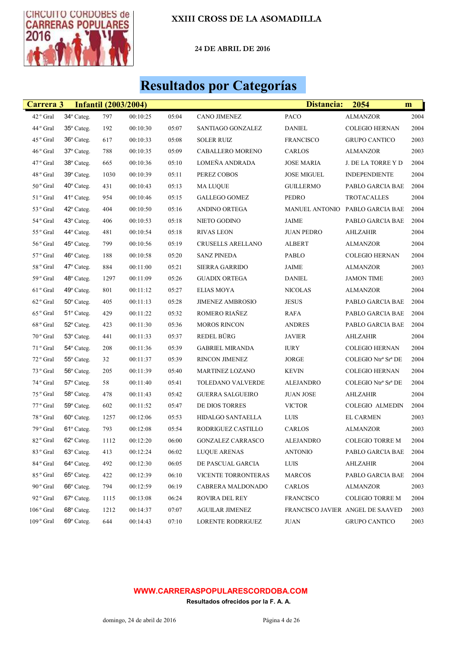

24 DE ABRIL DE 2016

## Resultados por Categorías

| Carrera 3           |                     | <b>Infantil (2003/2004)</b> |          |       |                          | Distancia:         | 2054                             | m    |
|---------------------|---------------------|-----------------------------|----------|-------|--------------------------|--------------------|----------------------------------|------|
| 42° Gral            | 34° Categ.          | 797                         | 00:10:25 | 05:04 | <b>CANO JIMENEZ</b>      | PACO               | <b>ALMANZOR</b>                  | 2004 |
| 44° Gral            | 35° Categ.          | 192                         | 00:10:30 | 05:07 | SANTIAGO GONZALEZ        | <b>DANIEL</b>      | <b>COLEGIO HERNAN</b>            | 2004 |
| 45° Gral            | 36° Categ.          | 617                         | 00:10:33 | 05:08 | <b>SOLER RUIZ</b>        | <b>FRANCISCO</b>   | <b>GRUPO CANTICO</b>             | 2003 |
| 46° Gral            | 37° Categ.          | 788                         | 00:10:35 | 05:09 | CABALLERO MORENO         | CARLOS             | <b>ALMANZOR</b>                  | 2003 |
| 47° Gral            | 38° Categ.          | 665                         | 00:10:36 | 05:10 | LOMEÑA ANDRADA           | <b>JOSE MARIA</b>  | J. DE LA TORRE Y D               | 2004 |
| 48° Gral            | 39° Categ.          | 1030                        | 00:10:39 | 05:11 | PEREZ COBOS              | <b>JOSE MIGUEL</b> | <b>INDEPENDIENTE</b>             | 2004 |
| $50\,^{\rm o}$ Gral | 40° Categ.          | 431                         | 00:10:43 | 05:13 | <b>MA LUQUE</b>          | <b>GUILLERMO</b>   | PABLO GARCIA BAE                 | 2004 |
| 51° Gral            | 41° Categ.          | 954                         | 00:10:46 | 05:15 | <b>GALLEGO GOMEZ</b>     | PEDRO              | <b>TROTACALLES</b>               | 2004 |
| 53° Gral            | $42^{\circ}$ Categ. | 404                         | 00:10:50 | 05:16 | ANDINO ORTEGA            | MANUEL ANTONIO     | PABLO GARCIA BAE                 | 2004 |
| 54° Gral            | 43° Categ.          | 406                         | 00:10:53 | 05:18 | NIETO GODINO             | JAIME              | PABLO GARCIA BAE                 | 2004 |
| 55° Gral            | 44° Categ.          | 481                         | 00:10:54 | 05:18 | <b>RIVAS LEON</b>        | <b>JUAN PEDRO</b>  | AHLZAHIR                         | 2004 |
| 56° Gral            | 45° Categ.          | 799                         | 00:10:56 | 05:19 | CRUSELLS ARELLANO        | ALBERT             | ALMANZOR                         | 2004 |
| $57°$ Gral          | $46^\circ$ Categ.   | 188                         | 00:10:58 | 05:20 | <b>SANZ PINEDA</b>       | PABLO              | <b>COLEGIO HERNAN</b>            | 2004 |
| $58^{\rm ~o}$ Gral  | 47° Categ.          | 884                         | 00:11:00 | 05:21 | <b>SIERRA GARRIDO</b>    | JAIME              | ALMANZOR                         | 2003 |
| 59° Gral            | 48° Categ.          | 1297                        | 00:11:09 | 05:26 | <b>GUADIX ORTEGA</b>     | DANIEL             | <b>JAMON TIME</b>                | 2003 |
| $61$ ° Gral         | 49° Categ.          | 801                         | 00:11:12 | 05:27 | <b>ELIAS MOYA</b>        | <b>NICOLAS</b>     | ALMANZOR                         | 2004 |
| $62\,^{\rm o}$ Gral | $50^\circ$ Categ.   | 405                         | 00:11:13 | 05:28 | <b>JIMENEZ AMBROSIO</b>  | <b>JESUS</b>       | PABLO GARCIA BAE                 | 2004 |
| 65° Gral            | 51° Categ.          | 429                         | 00:11:22 | 05:32 | ROMERO RIAÑEZ            | <b>RAFA</b>        | PABLO GARCIA BAE                 | 2004 |
| 68° Gral            | 52° Categ.          | 423                         | 00:11:30 | 05:36 | <b>MOROS RINCON</b>      | <b>ANDRES</b>      | PABLO GARCIA BAE                 | 2004 |
| 70° Gral            | 53° Categ.          | 441                         | 00:11:33 | 05:37 | REDEL BÜRG               | <b>JAVIER</b>      | AHLZAHIR                         | 2004 |
| 71° Gral            | 54° Categ.          | 208                         | 00:11:36 | 05:39 | <b>GABRIEL MIRANDA</b>   | <b>IURY</b>        | <b>COLEGIO HERNAN</b>            | 2004 |
| 72° Gral            | $55^{\rm o}$ Categ. | 32                          | 00:11:37 | 05:39 | RINCON JIMENEZ           | JORGE              | COLEGIO Ntrª Srª DE              | 2004 |
| 73 ° Gral           | 56° Categ.          | 205                         | 00:11:39 | 05:40 | MARTINEZ LOZANO          | <b>KEVIN</b>       | <b>COLEGIO HERNAN</b>            | 2004 |
| 74° Gral            | 57° Categ.          | 58                          | 00:11:40 | 05:41 | TOLEDANO VALVERDE        | ALEJANDRO          | COLEGIO Ntrª Srª DE              | 2004 |
| 75° Gral            | 58° Categ.          | 478                         | 00:11:43 | 05:42 | <b>GUERRA SALGUEIRO</b>  | <b>JUAN JOSE</b>   | AHLZAHIR                         | 2004 |
| 77° Gral            | 59° Categ.          | 602                         | 00:11:52 | 05:47 | DE DIOS TORRES           | <b>VICTOR</b>      | <b>COLEGIO ALMEDIN</b>           | 2004 |
| 78° Gral            | 60° Categ.          | 1257                        | 00:12:06 | 05:53 | <b>HIDALGO SANTAELLA</b> | LUIS               | <b>EL CARMEN</b>                 | 2003 |
| 79° Gral            | 61º Categ.          | 793                         | 00:12:08 | 05:54 | RODRIGUEZ CASTILLO       | CARLOS             | ALMANZOR                         | 2003 |
| 82° Gral            | 62° Categ.          | 1112                        | 00:12:20 | 06:00 | <b>GONZALEZ CARRASCO</b> | ALEJANDRO          | <b>COLEGIO TORRE M</b>           | 2004 |
| 83° Gral            | 63° Categ.          | 413                         | 00:12:24 | 06:02 | <b>LUQUE ARENAS</b>      | <b>ANTONIO</b>     | PABLO GARCIA BAE                 | 2004 |
| 84° Gral            | 64° Categ.          | 492                         | 00:12:30 | 06:05 | DE PASCUAL GARCIA        | LUIS               | AHLZAHIR                         | 2004 |
| 85° Gral            | 65° Categ.          | 422                         | 00:12:39 | 06:10 | VICENTE TORRONTERAS      | <b>MARCOS</b>      | PABLO GARCIA BAE                 | 2004 |
| 90° Gral            | 66° Categ.          | 794                         | 00:12:59 | 06:19 | CABRERA MALDONADO        | CARLOS             | <b>ALMANZOR</b>                  | 2003 |
| 92 ° Gral           | 67° Categ.          | 1115                        | 00:13:08 | 06:24 | ROVIRA DEL REY           | <b>FRANCISCO</b>   | <b>COLEGIO TORRE M</b>           | 2004 |
| 106° Gral           | 68° Categ.          | 1212                        | 00:14:37 | 07:07 | <b>AGUILAR JIMENEZ</b>   |                    | FRANCISCO JAVIER ANGEL DE SAAVED | 2003 |
| 109° Gral           | 69° Categ.          | 644                         | 00:14:43 | 07:10 | LORENTE RODRIGUEZ        | <b>JUAN</b>        | <b>GRUPO CANTICO</b>             | 2003 |

#### WWW.CARRERASPOPULARESCORDOBA.COM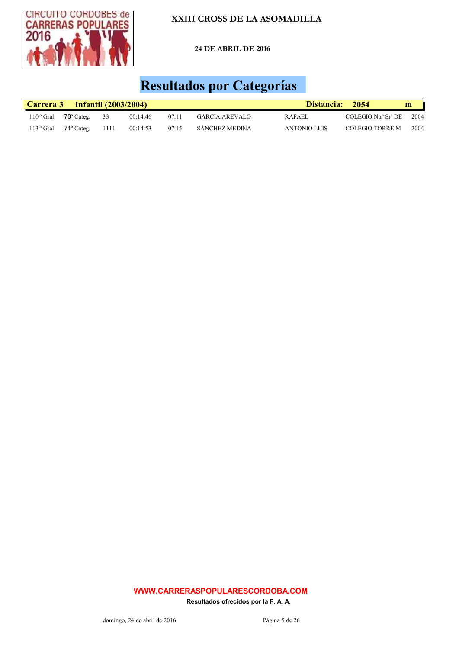

24 DE ABRIL DE 2016

## Resultados por Categorías

| Carrera 3   |                     |      | <b>Infantil (2003/2004)</b> |       |                       | Distancia:    | 2054                | m    |
|-------------|---------------------|------|-----------------------------|-------|-----------------------|---------------|---------------------|------|
| $110°$ Gral | $70^{\circ}$ Categ. | 33   | 00:14:46                    | 07:11 | <b>GARCIA AREVALO</b> | <b>RAFAEL</b> | COLEGIO Ntrª Srª DE | 2004 |
| $113°$ Gral | $71^\circ$ Categ.   | 1111 | 00:14:53                    | 07:15 | SÁNCHEZ MEDINA        | ANTONIO LUIS  | COLEGIO TORRE M     | 2004 |

#### WWW.CARRERASPOPULARESCORDOBA.COM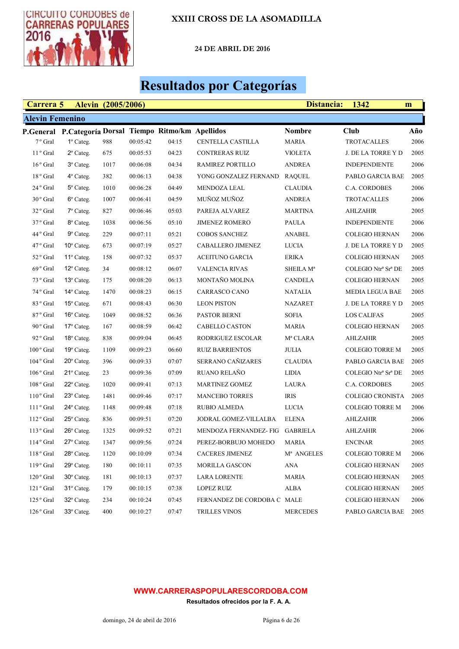

24 DE ABRIL DE 2016

# Resultados por Categorías

| Carrera 5              |                                                        | Alevin (2005/2006) |          |       |                                | Distancia:             | 1342                    | m    |
|------------------------|--------------------------------------------------------|--------------------|----------|-------|--------------------------------|------------------------|-------------------------|------|
| <b>Alevin Femenino</b> |                                                        |                    |          |       |                                |                        |                         |      |
|                        | P.General P.Categoría Dorsal Tiempo Ritmo/km Apellidos |                    |          |       |                                | <b>Nombre</b>          | Club                    | Año  |
| 7 <sup>°</sup> Gral    | $1^\circ$ Categ.                                       | 988                | 00:05:42 | 04:15 | CENTELLA CASTILLA              | <b>MARIA</b>           | <b>TROTACALLES</b>      | 2006 |
| $11°$ Gral             | $2^{\circ}$ Categ.                                     | 675                | 00:05:53 | 04:23 | <b>CONTRERAS RUIZ</b>          | <b>VIOLETA</b>         | J. DE LA TORRE Y D      | 2005 |
| $16°$ Gral             | 3º Categ.                                              | 1017               | 00:06:08 | 04:34 | RAMIREZ PORTILLO               | <b>ANDREA</b>          | <b>INDEPENDIENTE</b>    | 2006 |
| 18 <sup>°</sup> Gral   | 4° Categ.                                              | 382                | 00:06:13 | 04:38 | YONG GONZALEZ FERNAND          | <b>RAQUEL</b>          | PABLO GARCIA BAE        | 2005 |
| 24 <sup>°</sup> Gral   | 5° Categ.                                              | 1010               | 00:06:28 | 04:49 | <b>MENDOZA LEAL</b>            | <b>CLAUDIA</b>         | C.A. CORDOBES           | 2006 |
| $30^{\circ}$ Gral      | 6° Categ.                                              | 1007               | 00:06:41 | 04:59 | MUÑOZ MUÑOZ                    | <b>ANDREA</b>          | <b>TROTACALLES</b>      | 2006 |
| 32° Gral               | 7º Categ.                                              | 827                | 00:06:46 | 05:03 | PAREJA ALVAREZ                 | <b>MARTINA</b>         | <b>AHLZAHIR</b>         | 2005 |
| 37 <sup>°</sup> Gral   | 8° Categ.                                              | 1038               | 00:06:56 | 05:10 | <b>JIMENEZ ROMERO</b>          | <b>PAULA</b>           | <b>INDEPENDIENTE</b>    | 2006 |
| 44° Gral               | 9° Categ.                                              | 229                | 00:07:11 | 05:21 | <b>COBOS SANCHEZ</b>           | ANABEL                 | <b>COLEGIO HERNAN</b>   | 2006 |
| 47 <sup>°</sup> Gral   | $10^{\circ}$ Categ.                                    | 673                | 00:07:19 | 05:27 | CABALLERO JIMENEZ              | <b>LUCIA</b>           | J. DE LA TORRE Y D      | 2005 |
| 52° Gral               | 11º Categ.                                             | 158                | 00:07:32 | 05:37 | <b>ACEITUNO GARCIA</b>         | <b>ERIKA</b>           | <b>COLEGIO HERNAN</b>   | 2005 |
| 69 <sup>°</sup> Gral   | 12° Categ.                                             | 34                 | 00:08:12 | 06:07 | <b>VALENCIA RIVAS</b>          | SHEILA M <sup>a</sup>  | COLEGIO Ntrª Srª DE     | 2005 |
| 73 ° Gral              | 13° Categ.                                             | 175                | 00:08:20 | 06:13 | MONTAÑO MOLINA                 | <b>CANDELA</b>         | <b>COLEGIO HERNAN</b>   | 2005 |
| 74 ° Gral              | $14^{\circ}$ Categ.                                    | 1470               | 00:08:23 | 06:15 | CARRASCO CANO                  | <b>NATALIA</b>         | <b>MEDIA LEGUA BAE</b>  | 2005 |
| 83 <sup>°</sup> Gral   | 15° Categ.                                             | 671                | 00:08:43 | 06:30 | <b>LEON PISTON</b>             | <b>NAZARET</b>         | J. DE LA TORRE Y D      | 2005 |
| 87° Gral               | 16° Categ.                                             | 1049               | 00:08:52 | 06:36 | <b>PASTOR BERNI</b>            | <b>SOFIA</b>           | <b>LOS CALIFAS</b>      | 2005 |
| 90° Gral               | 17° Categ.                                             | 167                | 00:08:59 | 06:42 | CABELLO CASTON                 | <b>MARIA</b>           | <b>COLEGIO HERNAN</b>   | 2005 |
| 92 <sup>o</sup> Gral   | $18^{\circ}$ Categ.                                    | 838                | 00:09:04 | 06:45 | RODRIGUEZ ESCOLAR              | Mª CLARA               | AHLZAHIR                | 2005 |
| $100^{\circ}$ Gral     | 19° Categ.                                             | 1109               | 00:09:23 | 06:60 | <b>RUIZ BARRIENTOS</b>         | <b>JULIA</b>           | <b>COLEGIO TORRE M</b>  | 2005 |
| $104^{\circ}$ Gral     | 20° Categ.                                             | 396                | 00:09:33 | 07:07 | SERRANO CAÑIZARES              | <b>CLAUDIA</b>         | PABLO GARCIA BAE        | 2005 |
| $106°$ Gral            | 21° Categ.                                             | 23                 | 00:09:36 | 07:09 | RUANO RELAÑO                   | <b>LIDIA</b>           | COLEGIO Ntrª Srª DE     | 2005 |
| $108°$ Gral            | 22° Categ.                                             | 1020               | 00:09:41 | 07:13 | <b>MARTINEZ GOMEZ</b>          | <b>LAURA</b>           | C.A. CORDOBES           | 2005 |
| $110°$ Gral            | 23° Categ.                                             | 1481               | 00:09:46 | 07:17 | <b>MANCEBO TORRES</b>          | <b>IRIS</b>            | <b>COLEGIO CRONISTA</b> | 2005 |
| $111°$ Gral            | 24° Categ.                                             | 1148               | 00:09:48 | 07:18 | <b>RUBIO ALMEDA</b>            | <b>LUCIA</b>           | <b>COLEGIO TORRE M</b>  | 2006 |
| $112°$ Gral            | 25° Categ.                                             | 836                | 00:09:51 | 07:20 | JODRAL GOMEZ-VILLALBA          | <b>ELENA</b>           | <b>AHLZAHIR</b>         | 2006 |
| $113°$ Gral            | 26° Categ.                                             | 1325               | 00:09:52 | 07:21 | MENDOZA FERNANDEZ-FIG GABRIELA |                        | <b>AHLZAHIR</b>         | 2006 |
| 114° Gral              | $27^\circ$ Categ.                                      | 1347               | 00:09:56 | 07:24 | PEREZ-BORBUJO MOHEDO           | <b>MARIA</b>           | <b>ENCINAR</b>          | 2005 |
| 118° Gral              | 28° Categ.                                             | 1120               | 00:10:09 | 07:34 | CACERES JIMENEZ                | M <sup>a</sup> ANGELES | <b>COLEGIO TORRE M</b>  | 2006 |
| 119° Gral              | 29° Categ.                                             | 180                | 00:10:11 | 07:35 | <b>MORILLA GASCON</b>          | <b>ANA</b>             | <b>COLEGIO HERNAN</b>   | 2005 |
| 120° Gral              | $30^\circ$ Categ.                                      | 181                | 00:10:13 | 07:37 | <b>LARA LORENTE</b>            | <b>MARIA</b>           | <b>COLEGIO HERNAN</b>   | 2005 |
| 121° Gral              | 31° Categ.                                             | 179                | 00:10:15 | 07:38 | LOPEZ RUIZ                     | ALBA                   | <b>COLEGIO HERNAN</b>   | 2005 |
| 125° Gral              | 32° Categ.                                             | 234                | 00:10:24 | 07:45 | FERNANDEZ DE CORDOBA C MALE    |                        | <b>COLEGIO HERNAN</b>   | 2006 |
| 126° Gral              | 33° Categ.                                             | 400                | 00:10:27 | 07:47 | <b>TRILLES VINOS</b>           | <b>MERCEDES</b>        | PABLO GARCIA BAE        | 2005 |

#### WWW.CARRERASPOPULARESCORDOBA.COM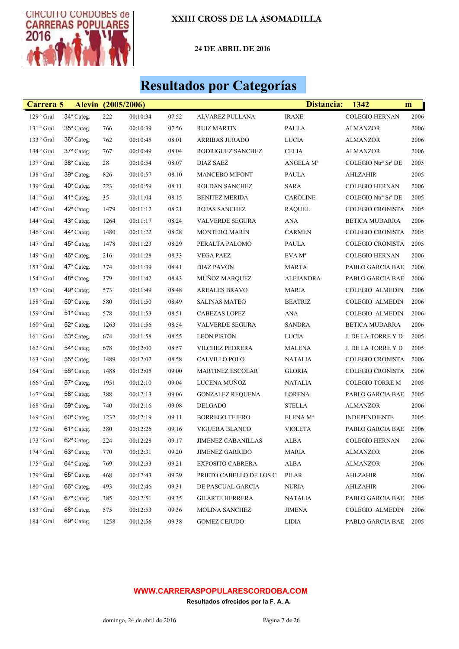

24 DE ABRIL DE 2016

## Resultados por Categorías

| Carrera 5             |                     | <b>Alevin</b> (2005/2006) |          |       |                           | Distancia:           | 1342                    | m    |
|-----------------------|---------------------|---------------------------|----------|-------|---------------------------|----------------------|-------------------------|------|
| 129° Gral             | 34° Categ.          | 222                       | 00:10:34 | 07:52 | ALVAREZ PULLANA           | <b>IRAXE</b>         | <b>COLEGIO HERNAN</b>   | 2006 |
| 131° Gral             | 35° Categ.          | 766                       | 00:10:39 | 07:56 | <b>RUIZ MARTIN</b>        | <b>PAULA</b>         | ALMANZOR                | 2006 |
| 133° Gral             | 36° Categ.          | 762                       | 00:10:45 | 08:01 | <b>ARRIBAS JURADO</b>     | <b>LUCIA</b>         | ALMANZOR                | 2006 |
| 134° Gral             | 37° Categ.          | 767                       | 00:10:49 | 08:04 | RODRIGUEZ SANCHEZ         | <b>CELIA</b>         | ALMANZOR                | 2006 |
| 137° Gral             | 38° Categ.          | 28                        | 00:10:54 | 08:07 | <b>DIAZ SAEZ</b>          | ANGELA Mª            | COLEGIO Ntrª Srª DE     | 2005 |
| 138° Gral             | 39° Categ.          | 826                       | 00:10:57 | 08:10 | <b>MANCEBO MIFONT</b>     | <b>PAULA</b>         | AHLZAHIR                | 2005 |
| 139° Gral             | 40° Categ.          | 223                       | 00:10:59 | 08:11 | ROLDAN SANCHEZ            | <b>SARA</b>          | <b>COLEGIO HERNAN</b>   | 2006 |
| 141° Gral             | 41º Categ.          | 35                        | 00:11:04 | 08:15 | <b>BENITEZ MERIDA</b>     | <b>CAROLINE</b>      | COLEGIO Ntrª Srª DE     | 2005 |
| 142° Gral             | $42^{\circ}$ Categ. | 1479                      | 00:11:12 | 08:21 | <b>ROJAS SANCHEZ</b>      | <b>RAQUEL</b>        | <b>COLEGIO CRONISTA</b> | 2005 |
| 144° Gral             | 43° Categ.          | 1264                      | 00:11:17 | 08:24 | VALVERDE SEGURA           | ANA                  | <b>BETICA MUDARRA</b>   | 2006 |
| 146° Gral             | 44° Categ.          | 1480                      | 00:11:22 | 08:28 | MONTERO MARÍN             | <b>CARMEN</b>        | COLEGIO CRONISTA        | 2005 |
| 147° Gral             | 45° Categ.          | 1478                      | 00:11:23 | 08:29 | PERALTA PALOMO            | PAULA                | <b>COLEGIO CRONISTA</b> | 2005 |
| $149°$ Gral           | 46° Categ.          | 216                       | 00:11:28 | 08:33 | <b>VEGA PAEZ</b>          | EVA M <sup>a</sup>   | <b>COLEGIO HERNAN</b>   | 2006 |
| 153 <sup>°</sup> Gral | $47^\circ$ Categ.   | 374                       | 00:11:39 | 08:41 | <b>DIAZ PAVON</b>         | MARTA                | PABLO GARCIA BAE        | 2006 |
| 154° Gral             | 48° Categ.          | 379                       | 00:11:42 | 08:43 | <b>MUÑOZ MARQUEZ</b>      | ALEJANDRA            | PABLO GARCIA BAE        | 2006 |
| 157° Gral             | 49° Categ.          | 573                       | 00:11:49 | 08:48 | <b>AREALES BRAVO</b>      | <b>MARIA</b>         | COLEGIO ALMEDIN         | 2006 |
| 158° Gral             | 50° Categ.          | 580                       | 00:11:50 | 08:49 | <b>SALINAS MATEO</b>      | <b>BEATRIZ</b>       | <b>COLEGIO ALMEDIN</b>  | 2006 |
| 159° Gral             | 51° Categ.          | 578                       | 00:11:53 | 08:51 | <b>CABEZAS LOPEZ</b>      | <b>ANA</b>           | COLEGIO ALMEDIN         | 2006 |
| $160^{\circ}$ Gral    | $52^{\circ}$ Categ. | 1263                      | 00:11:56 | 08:54 | <b>VALVERDE SEGURA</b>    | <b>SANDRA</b>        | BETICA MUDARRA          | 2006 |
| 161° Gral             | 53° Categ.          | 674                       | 00:11:58 | 08:55 | <b>LEON PISTON</b>        | <b>LUCIA</b>         | J. DE LA TORRE Y D      | 2005 |
| $162o$ Gral           | 54° Categ.          | 678                       | 00:12:00 | 08:57 | <b>VILCHEZ PEDRERA</b>    | MALENA               | J. DE LA TORRE Y D      | 2005 |
| 163 <sup>°</sup> Gral | 55° Categ.          | 1489                      | 00:12:02 | 08:58 | CALVILLO POLO             | <b>NATALIA</b>       | <b>COLEGIO CRONISTA</b> | 2006 |
| 164° Gral             | 56° Categ.          | 1488                      | 00:12:05 | 09:00 | <b>MARTINEZ ESCOLAR</b>   | <b>GLORIA</b>        | <b>COLEGIO CRONISTA</b> | 2006 |
| 166° Gral             | 57° Categ.          | 1951                      | 00:12:10 | 09:04 | LUCENA MUÑOZ              | NATALIA              | <b>COLEGIO TORRE M</b>  | 2005 |
| $167°$ Gral           | 58° Categ.          | 388                       | 00:12:13 | 09:06 | <b>GONZALEZ REQUENA</b>   | LORENA               | PABLO GARCIA BAE        | 2005 |
| 168° Gral             | 59° Categ.          | 740                       | 00:12:16 | 09:08 | <b>DELGADO</b>            | <b>STELLA</b>        | <b>ALMANZOR</b>         | 2006 |
| 169° Gral             | $60^\circ$ Categ.   | 1232                      | 00:12:19 | 09:11 | <b>BORREGO TEJERO</b>     | ELENA M <sup>a</sup> | <b>INDEPENDIENTE</b>    | 2005 |
| $172°$ Gral           | 61º Categ.          | 380                       | 00:12:26 | 09:16 | VIGUERA BLANCO            | <b>VIOLETA</b>       | PABLO GARCIA BAE        | 2006 |
| 173 ° Gral            | 62° Categ.          | 224                       | 00:12:28 | 09:17 | <b>JIMENEZ CABANILLAS</b> | <b>ALBA</b>          | <b>COLEGIO HERNAN</b>   | 2006 |
| 174° Gral             | 63° Categ.          | 770                       | 00:12:31 | 09:20 | <b>JIMENEZ GARRIDO</b>    | <b>MARIA</b>         | ALMANZOR                | 2006 |
| 175° Gral             | 64° Categ.          | 769                       | 00:12:33 | 09:21 | EXPOSITO CABRERA          | ALBA                 | <b>ALMANZOR</b>         | 2006 |
| 179° Gral             | $65^\circ$ Categ.   | 468                       | 00:12:43 | 09:29 | PRIETO CABELLO DE LOS C   | PILAR                | AHLZAHIR                | 2006 |
| 180° Gral             | 66° Categ.          | 493                       | 00:12:46 | 09:31 | DE PASCUAL GARCIA         | <b>NURIA</b>         | AHLZAHIR                | 2006 |
| 182° Gral             | 67° Categ.          | 385                       | 00:12:51 | 09:35 | <b>GILARTE HERRERA</b>    | <b>NATALIA</b>       | PABLO GARCIA BAE        | 2005 |
| 183 <sup>°</sup> Gral | 68° Categ.          | 575                       | 00:12:53 | 09:36 | MOLINA SANCHEZ            | <b>JIMENA</b>        | COLEGIO ALMEDIN         | 2006 |
| 184° Gral             | 69° Categ.          | 1258                      | 00:12:56 | 09:38 | <b>GOMEZ CEJUDO</b>       | <b>LIDIA</b>         | PABLO GARCIA BAE        | 2005 |

#### WWW.CARRERASPOPULARESCORDOBA.COM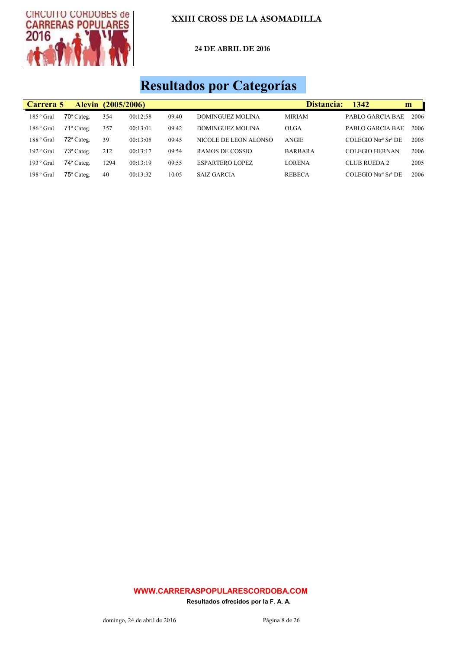

24 DE ABRIL DE 2016

# Resultados por Categorías

| Carrera 5   | <b>Alevin</b>       | (2005/2006) |          |       |                        | Distancia:     | 1342                  | m    |
|-------------|---------------------|-------------|----------|-------|------------------------|----------------|-----------------------|------|
| $185°$ Gral | $70^{\circ}$ Categ. | 354         | 00:12:58 | 09:40 | DOMINGUEZ MOLINA       | <b>MIRIAM</b>  | PABLO GARCIA BAE      | 2006 |
| $186°$ Gral | $71^\circ$ Categ.   | 357         | 00:13:01 | 09:42 | DOMINGUEZ MOLINA       | <b>OLGA</b>    | PABLO GARCIA BAE      | 2006 |
| $188°$ Gral | $72^{\circ}$ Categ. | 39          | 00:13:05 | 09:45 | NICOLE DE LEON ALONSO  | <b>ANGIE</b>   | COLEGIO Ntrª Srª DE   | 2005 |
| $192°$ Gral | 73° Categ.          | 212         | 00:13:17 | 09:54 | RAMOS DE COSSIO        | <b>BARBARA</b> | <b>COLEGIO HERNAN</b> | 2006 |
| $193°$ Gral | $74^\circ$ Categ.   | 1294        | 00:13:19 | 09:55 | <b>ESPARTERO LOPEZ</b> | <b>LORENA</b>  | CLUB RUEDA 2          | 2005 |
| $198°$ Gral | $75^{\circ}$ Categ. | 40          | 00:13:32 | 10:05 | SAIZ GARCIA            | <b>REBECA</b>  | COLEGIO Ntrª Srª DE   | 2006 |

#### WWW.CARRERASPOPULARESCORDOBA.COM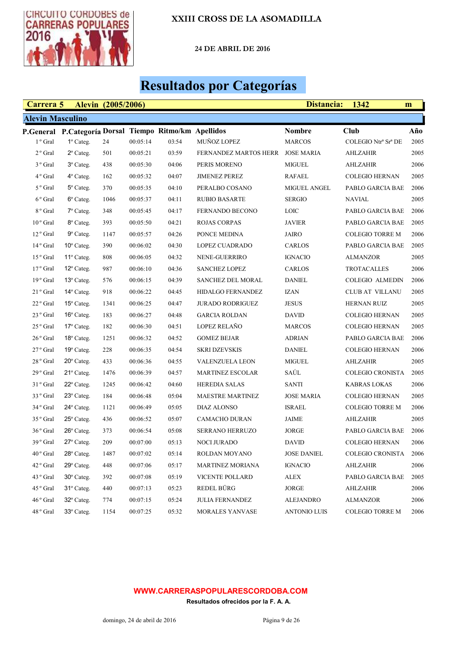

24 DE ABRIL DE 2016

# Resultados por Categorías

| Carrera 5               |                                                        | <b>Alevin</b> (2005/2006) |          |       |                                  | Distancia:          | 1342                   | m    |
|-------------------------|--------------------------------------------------------|---------------------------|----------|-------|----------------------------------|---------------------|------------------------|------|
| <b>Alevin Masculino</b> |                                                        |                           |          |       |                                  |                     |                        |      |
|                         | P.General P.Categoría Dorsal Tiempo Ritmo/km Apellidos |                           |          |       |                                  | <b>Nombre</b>       | Club                   | Año  |
| 1 <sup>°</sup> Gral     | $1^\circ$ Categ.                                       | 24                        | 00:05:14 | 03:54 | MUÑOZ LOPEZ                      | <b>MARCOS</b>       | COLEGIO Ntrª Srª DE    | 2005 |
| $2°$ Gral               | $2^{\circ}$ Categ.                                     | 501                       | 00:05:21 | 03:59 | FERNANDEZ MARTOS HERR JOSE MARIA |                     | AHLZAHIR               | 2005 |
| 3 <sup>°</sup> Gral     | $3^\circ$ Categ.                                       | 438                       | 00:05:30 | 04:06 | PERIS MORENO                     | <b>MIGUEL</b>       | AHLZAHIR               | 2006 |
| $4^{\circ}$ Gral        | 4° Categ.                                              | 162                       | 00:05:32 | 04:07 | <b>JIMENEZ PEREZ</b>             | <b>RAFAEL</b>       | <b>COLEGIO HERNAN</b>  | 2005 |
| 5 <sup>°</sup> Gral     | 5° Categ.                                              | 370                       | 00:05:35 | 04:10 | PERALBO COSANO                   | <b>MIGUEL ANGEL</b> | PABLO GARCIA BAE       | 2006 |
| $6^{\circ}$ Gral        | 6° Categ.                                              | 1046                      | 00:05:37 | 04:11 | <b>RUBIO BASARTE</b>             | <b>SERGIO</b>       | <b>NAVIAL</b>          | 2005 |
| 8 <sup>°</sup> Gral     | 7º Categ.                                              | 348                       | 00:05:45 | 04:17 | FERNANDO BECONO                  | <b>LOIC</b>         | PABLO GARCIA BAE       | 2006 |
| $10^{\circ}$ Gral       | 8° Categ.                                              | 393                       | 00:05:50 | 04:21 | <b>ROJAS CORPAS</b>              | <b>JAVIER</b>       | PABLO GARCIA BAE       | 2005 |
| $12o$ Gral              | 9° Categ.                                              | 1147                      | 00:05:57 | 04:26 | PONCE MEDINA                     | <b>JAIRO</b>        | <b>COLEGIO TORRE M</b> | 2006 |
| 14 <sup>°</sup> Gral    | $10^{\circ}$ Categ.                                    | 390                       | 00:06:02 | 04:30 | LOPEZ CUADRADO                   | CARLOS              | PABLO GARCIA BAE       | 2005 |
| 15 <sup>°</sup> Gral    | 11º Categ.                                             | 808                       | 00:06:05 | 04:32 | NENE-GUERRIRO                    | <b>IGNACIO</b>      | ALMANZOR               | 2005 |
| $17°$ Gral              | $12^{\circ}$ Categ.                                    | 987                       | 00:06:10 | 04:36 | <b>SANCHEZ LOPEZ</b>             | CARLOS              | <b>TROTACALLES</b>     | 2006 |
| 19° Gral                | $13^{\circ}$ Categ.                                    | 576                       | 00:06:15 | 04:39 | <b>SANCHEZ DEL MORAL</b>         | <b>DANIEL</b>       | <b>COLEGIO ALMEDIN</b> | 2006 |
| $21°$ Gral              | $14^{\circ}$ Categ.                                    | 918                       | 00:06:22 | 04:45 | HIDALGO FERNANDEZ                | <b>IZAN</b>         | CLUB AT VILLANU        | 2005 |
| 22 <sup>°</sup> Gral    | $15^{\circ}$ Categ.                                    | 1341                      | 00:06:25 | 04:47 | <b>JURADO RODRIGUEZ</b>          | <b>JESUS</b>        | HERNAN RUIZ            | 2005 |
| 23 <sup>°</sup> Gral    | $16^{\circ}$ Categ.                                    | 183                       | 00:06:27 | 04:48 | <b>GARCIA ROLDAN</b>             | <b>DAVID</b>        | <b>COLEGIO HERNAN</b>  | 2005 |
| $25^{\circ}$ Gral       | 17° Categ.                                             | 182                       | 00:06:30 | 04:51 | <b>LOPEZ RELAÑO</b>              | <b>MARCOS</b>       | <b>COLEGIO HERNAN</b>  | 2005 |
| $26^{\circ}$ Gral       | 18° Categ.                                             | 1251                      | 00:06:32 | 04:52 | <b>GOMEZ BEJAR</b>               | <b>ADRIAN</b>       | PABLO GARCIA BAE       | 2006 |
| $27°$ Gral              | 19° Categ.                                             | 228                       | 00:06:35 | 04:54 | <b>SKRI DZEVSKIS</b>             | <b>DANIEL</b>       | <b>COLEGIO HERNAN</b>  | 2006 |
| 28 <sup>°</sup> Gral    | $20^{\circ}$ Categ.                                    | 433                       | 00:06:36 | 04:55 | VALENZUELA LEON                  | <b>MIGUEL</b>       | <b>AHLZAHIR</b>        | 2005 |
| 29 <sup>°</sup> Gral    | 21° Categ.                                             | 1476                      | 00:06:39 | 04:57 | <b>MARTINEZ ESCOLAR</b>          | SAÚL                | COLEGIO CRONISTA       | 2005 |
| 31° Gral                | $22^{\circ}$ Categ.                                    | 1245                      | 00:06:42 | 04:60 | <b>HEREDIA SALAS</b>             | <b>SANTI</b>        | <b>KABRAS LOKAS</b>    | 2006 |
| 33 <sup>°</sup> Gral    | 23° Categ.                                             | 184                       | 00:06:48 | 05:04 | <b>MAESTRE MARTINEZ</b>          | <b>JOSE MARIA</b>   | <b>COLEGIO HERNAN</b>  | 2005 |
| 34° Gral                | 24° Categ.                                             | 1121                      | 00:06:49 | 05:05 | <b>DIAZ ALONSO</b>               | <b>ISRAEL</b>       | COLEGIO TORRE M        | 2006 |
| 35 <sup>°</sup> Gral    | 25° Categ.                                             | 436                       | 00:06:52 | 05:07 | <b>CAMACHO DURAN</b>             | <b>JAIME</b>        | AHLZAHIR               | 2005 |
| 36 <sup>°</sup> Gral    | $26^{\circ}$ Categ.                                    | 373                       | 00:06:54 | 05:08 | <b>SERRANO HERRUZO</b>           | <b>JORGE</b>        | PABLO GARCIA BAE       | 2006 |
| 39° Gral                | 27° Categ.                                             | 209                       | 00:07:00 | 05:13 | NOCI JURADO                      | <b>DAVID</b>        | <b>COLEGIO HERNAN</b>  | 2006 |
| $40^{\circ}$ Gral       | 28° Categ.                                             | 1487                      | 00:07:02 | 05:14 | ROLDAN MOYANO                    | <b>JOSE DANIEL</b>  | COLEGIO CRONISTA       | 2006 |
| 42° Gral                | $29^\circ$ Categ.                                      | 448                       | 00:07:06 | 05:17 | <b>MARTINEZ MORIANA</b>          | <b>IGNACIO</b>      | AHLZAHIR               | 2006 |
| 43 ° Gral               | 30° Categ.                                             | 392                       | 00:07:08 | 05:19 | <b>VICENTE POLLARD</b>           | ALEX                | PABLO GARCIA BAE       | 2005 |
| 45 <sup>°</sup> Gral    | 31° Categ.                                             | 440                       | 00:07:13 | 05:23 | REDEL BÜRG                       | JORGE               | AHLZAHIR               | 2006 |
| 46 <sup>°</sup> Gral    | 32° Categ.                                             | 774                       | 00:07:15 | 05:24 | <b>JULIA FERNANDEZ</b>           | <b>ALEJANDRO</b>    | <b>ALMANZOR</b>        | 2006 |
| 48° Gral                | 33° Categ.                                             | 1154                      | 00:07:25 | 05:32 | <b>MORALES YANVASE</b>           | <b>ANTONIO LUIS</b> | <b>COLEGIO TORRE M</b> | 2006 |

#### WWW.CARRERASPOPULARESCORDOBA.COM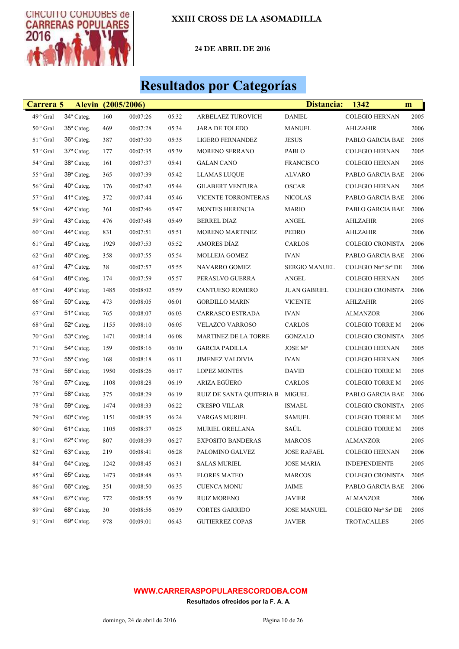

Ц

## XXIII CROSS DE LA ASOMADILLA

24 DE ABRIL DE 2016

## Resultados por Categorías

| Carrera 5            |                     | <b>Alevin</b> (2005/2006) |          |       |                          | Distancia:           | 1342                    | m    |
|----------------------|---------------------|---------------------------|----------|-------|--------------------------|----------------------|-------------------------|------|
| 49 <sup>°</sup> Gral | 34° Categ.          | 160                       | 00:07:26 | 05:32 | ARBELAEZ TUROVICH        | <b>DANIEL</b>        | <b>COLEGIO HERNAN</b>   | 2005 |
| 50° Gral             | 35° Categ.          | 469                       | 00:07:28 | 05:34 | <b>JARA DE TOLEDO</b>    | <b>MANUEL</b>        | <b>AHLZAHIR</b>         | 2006 |
| $51^{\rm ~o}$ Gral   | $36^\circ$ Categ.   | 387                       | 00:07:30 | 05:35 | LIGERO FERNANDEZ         | <b>JESUS</b>         | PABLO GARCIA BAE        | 2005 |
| 53 ° Gral            | 37° Categ.          | 177                       | 00:07:35 | 05:39 | MORENO SERRANO           | PABLO                | <b>COLEGIO HERNAN</b>   | 2005 |
| 54° Gral             | 38° Categ.          | 161                       | 00:07:37 | 05:41 | <b>GALAN CANO</b>        | <b>FRANCISCO</b>     | <b>COLEGIO HERNAN</b>   | 2005 |
| $55^{\,\rm o}$ Gral  | 39° Categ.          | 365                       | 00:07:39 | 05:42 | <b>LLAMAS LUQUE</b>      | ALVARO               | PABLO GARCIA BAE        | 2006 |
| $56\,^{\rm o}$ Gral  | $40^{\circ}$ Categ. | 176                       | 00:07:42 | 05:44 | <b>GILABERT VENTURA</b>  | <b>OSCAR</b>         | <b>COLEGIO HERNAN</b>   | 2005 |
| $57\,^{\rm o}$ Gral  | 41° Categ.          | 372                       | 00:07:44 | 05:46 | VICENTE TORRONTERAS      | <b>NICOLAS</b>       | PABLO GARCIA BAE        | 2006 |
| $58$ $^{\rm o}$ Gral | $42^{\circ}$ Categ. | 361                       | 00:07:46 | 05:47 | <b>MONTES HERENCIA</b>   | <b>MARIO</b>         | PABLO GARCIA BAE        | 2006 |
| 59° Gral             | 43° Categ.          | 476                       | 00:07:48 | 05:49 | <b>BERREL DIAZ</b>       | ANGEL                | <b>AHLZAHIR</b>         | 2005 |
| $60\,^{\rm o}$ Gral  | $44^{\circ}$ Categ. | 831                       | 00:07:51 | 05:51 | <b>MORENO MARTINEZ</b>   | PEDRO                | AHLZAHIR                | 2006 |
| 61 <sup>°</sup> Gral | 45° Categ.          | 1929                      | 00:07:53 | 05:52 | AMORES DÍAZ              | <b>CARLOS</b>        | COLEGIO CRONISTA        | 2006 |
| 62 <sup>°</sup> Gral | $46^\circ$ Categ.   | 358                       | 00:07:55 | 05:54 | MOLLEJA GOMEZ            | <b>IVAN</b>          | PABLO GARCIA BAE        | 2006 |
| 63 <sup>°</sup> Gral | 47° Categ.          | 38                        | 00:07:57 | 05:55 | NAVARRO GOMEZ            | <b>SERGIO MANUEL</b> | COLEGIO Ntrª Srª DE     | 2006 |
| 64° Gral             | 48° Categ.          | 174                       | 00:07:59 | 05:57 | PERASLVO GUERRA          | <b>ANGEL</b>         | <b>COLEGIO HERNAN</b>   | 2005 |
| 65 <sup>°</sup> Gral | 49° Categ.          | 1485                      | 00:08:02 | 05:59 | CANTUESO ROMERO          | <b>JUAN GABRIEL</b>  | <b>COLEGIO CRONISTA</b> | 2006 |
| 66° Gral             | $50^\circ$ Categ.   | 473                       | 00:08:05 | 06:01 | <b>GORDILLO MARIN</b>    | <b>VICENTE</b>       | AHLZAHIR                | 2005 |
| 67° Gral             | 51° Categ.          | 765                       | 00:08:07 | 06:03 | <b>CARRASCO ESTRADA</b>  | <b>IVAN</b>          | ALMANZOR                | 2006 |
| 68 <sup>°</sup> Gral | 52° Categ.          | 1155                      | 00:08:10 | 06:05 | <b>VELAZCO VARROSO</b>   | CARLOS               | <b>COLEGIO TORRE M</b>  | 2006 |
| 70° Gral             | 53° Categ.          | 1471                      | 00:08:14 | 06:08 | MARTINEZ DE LA TORRE     | GONZALO              | COLEGIO CRONISTA        | 2005 |
| $71°$ Gral           | 54° Categ.          | 159                       | 00:08:16 | 06:10 | <b>GARCIA PADILLA</b>    | JOSE M <sup>a</sup>  | <b>COLEGIO HERNAN</b>   | 2005 |
| 72° Gral             | $55^{\rm o}$ Categ. | 168                       | 00:08:18 | 06:11 | JIMENEZ VALDIVIA         | <b>IVAN</b>          | <b>COLEGIO HERNAN</b>   | 2005 |
| 75 <sup>°</sup> Gral | 56° Categ.          | 1950                      | 00:08:26 | 06:17 | <b>LOPEZ MONTES</b>      | <b>DAVID</b>         | <b>COLEGIO TORRE M</b>  | 2005 |
| 76° Gral             | 57° Categ.          | 1108                      | 00:08:28 | 06:19 | ARIZA EGÜERO             | <b>CARLOS</b>        | <b>COLEGIO TORRE M</b>  | 2005 |
| 77° Gral             | 58° Categ.          | 375                       | 00:08:29 | 06:19 | RUIZ DE SANTA QUITERIA B | MIGUEL               | PABLO GARCIA BAE        | 2006 |
| 78° Gral             | 59° Categ.          | 1474                      | 00:08:33 | 06:22 | <b>CRESPO VILLAR</b>     | <b>ISMAEL</b>        | COLEGIO CRONISTA        | 2005 |
| 79° Gral             | 60° Categ.          | 1151                      | 00:08:35 | 06:24 | <b>VARGAS MURIEL</b>     | <b>SAMUEL</b>        | <b>COLEGIO TORRE M</b>  | 2005 |
| 80° Gral             | 61º Categ.          | 1105                      | 00:08:37 | 06:25 | MURIEL ORELLANA          | SAÚL                 | <b>COLEGIO TORRE M</b>  | 2005 |
| 81° Gral             | 62° Categ.          | 807                       | 00:08:39 | 06:27 | <b>EXPOSITO BANDERAS</b> | <b>MARCOS</b>        | <b>ALMANZOR</b>         | 2005 |
| 82° Gral             | 63° Categ.          | 219                       | 00:08:41 | 06:28 | PALOMINO GALVEZ          | <b>JOSE RAFAEL</b>   | <b>COLEGIO HERNAN</b>   | 2006 |
| 84° Gral             | 64° Categ.          | 1242                      | 00:08:45 | 06:31 | <b>SALAS MURIEL</b>      | <b>JOSE MARIA</b>    | <b>INDEPENDIENTE</b>    | 2005 |
| 85 <sup>°</sup> Gral | $65^\circ$ Categ.   | 1473                      | 00:08:48 | 06:33 | <b>FLORES MATEO</b>      | <b>MARCOS</b>        | COLEGIO CRONISTA        | 2005 |
| 86° Gral             | 66° Categ.          | 351                       | 00:08:50 | 06:35 | <b>CUENCA MONU</b>       | JAIME                | PABLO GARCIA BAE        | 2006 |
| 88° Gral             | 67° Categ.          | 772                       | 00:08:55 | 06:39 | <b>RUIZ MORENO</b>       | <b>JAVIER</b>        | <b>ALMANZOR</b>         | 2006 |
| 89° Gral             | 68° Categ.          | 30                        | 00:08:56 | 06:39 | <b>CORTES GARRIDO</b>    | <b>JOSE MANUEL</b>   | COLEGIO Ntrª Srª DE     | 2005 |
| 91 ° Gral            | 69° Categ.          | 978                       | 00:09:01 | 06:43 | <b>GUTIERREZ COPAS</b>   | <b>JAVIER</b>        | <b>TROTACALLES</b>      | 2005 |

#### WWW.CARRERASPOPULARESCORDOBA.COM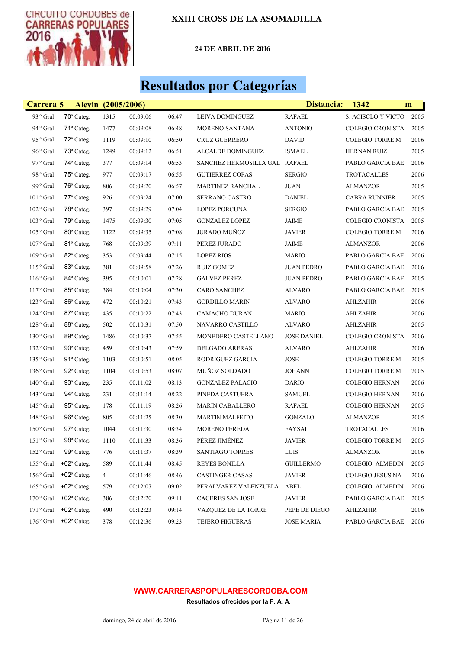

24 DE ABRIL DE 2016

## Resultados por Categorías

| Carrera 5             |                      | Alevin (2005/2006) |          |       |                               | Distancia:         | 1342                    | m    |
|-----------------------|----------------------|--------------------|----------|-------|-------------------------------|--------------------|-------------------------|------|
| 93 ° Gral             | 70° Categ.           | 1315               | 00:09:06 | 06:47 | LEIVA DOMINGUEZ               | <b>RAFAEL</b>      | S. ACISCLO Y VICTO      | 2005 |
| 94 ° Gral             | 71° Categ.           | 1477               | 00:09:08 | 06:48 | MORENO SANTANA                | <b>ANTONIO</b>     | <b>COLEGIO CRONISTA</b> | 2005 |
| 95° Gral              | $72^{\circ}$ Categ.  | 1119               | 00:09:10 | 06:50 | <b>CRUZ GUERRERO</b>          | <b>DAVID</b>       | <b>COLEGIO TORRE M</b>  | 2006 |
| 96° Gral              | 73° Categ.           | 1249               | 00:09:12 | 06:51 | <b>ALCALDE DOMINGUEZ</b>      | <b>ISMAEL</b>      | <b>HERNAN RUIZ</b>      | 2005 |
| 97° Gral              | 74° Categ.           | 377                | 00:09:14 | 06:53 | SANCHEZ HERMOSILLA GAL RAFAEL |                    | PABLO GARCIA BAE        | 2006 |
| 98° Gral              | 75° Categ.           | 977                | 00:09:17 | 06:55 | <b>GUTIERREZ COPAS</b>        | <b>SERGIO</b>      | TROTACALLES             | 2006 |
| 99° Gral              | 76° Categ.           | 806                | 00:09:20 | 06:57 | <b>MARTINEZ RANCHAL</b>       | <b>JUAN</b>        | ALMANZOR                | 2005 |
| 101° Gral             | 77° Categ.           | 926                | 00:09:24 | 07:00 | SERRANO CASTRO                | <b>DANIEL</b>      | <b>CABRA RUNNIER</b>    | 2005 |
| 102° Gral             | 78° Categ.           | 397                | 00:09:29 | 07:04 | LOPEZ PORCUNA                 | <b>SERGIO</b>      | PABLO GARCIA BAE        | 2005 |
| 103° Gral             | 79° Categ.           | 1475               | 00:09:30 | 07:05 | <b>GONZALEZ LOPEZ</b>         | JAIME              | <b>COLEGIO CRONISTA</b> | 2005 |
| 105° Gral             | 80° Categ.           | 1122               | 00:09:35 | 07:08 | <b>JURADO MUÑOZ</b>           | <b>JAVIER</b>      | <b>COLEGIO TORRE M</b>  | 2006 |
| 107° Gral             | 81º Categ.           | 768                | 00:09:39 | 07:11 | PEREZ JURADO                  | JAIME              | ALMANZOR                | 2006 |
| 109° Gral             | 82° Categ.           | 353                | 00:09:44 | 07:15 | <b>LOPEZ RIOS</b>             | <b>MARIO</b>       | PABLO GARCIA BAE        | 2006 |
| 115° Gral             | 83° Categ.           | 381                | 00:09:58 | 07:26 | <b>RUIZ GOMEZ</b>             | <b>JUAN PEDRO</b>  | PABLO GARCIA BAE        | 2006 |
| 116° Gral             | 84° Categ.           | 395                | 00:10:01 | 07:28 | <b>GALVEZ PEREZ</b>           | <b>JUAN PEDRO</b>  | PABLO GARCIA BAE        | 2005 |
| 117° Gral             | 85° Categ.           | 384                | 00:10:04 | 07:30 | <b>CARO SANCHEZ</b>           | ALVARO             | PABLO GARCIA BAE        | 2005 |
| 123 <sup>°</sup> Gral | 86° Categ.           | 472                | 00:10:21 | 07:43 | <b>GORDILLO MARIN</b>         | <b>ALVARO</b>      | AHLZAHIR                | 2006 |
| $124\,^{\rm o}$ Gral  | 87° Categ.           | 435                | 00:10:22 | 07:43 | <b>CAMACHO DURAN</b>          | <b>MARIO</b>       | AHLZAHIR                | 2006 |
| $128$ ° Gral          | 88° Categ.           | 502                | 00:10:31 | 07:50 | NAVARRO CASTILLO              | <b>ALVARO</b>      | AHLZAHIR                | 2005 |
| 130° Gral             | 89° Categ.           | 1486               | 00:10:37 | 07:55 | MONEDERO CASTELLANO           | <b>JOSE DANIEL</b> | <b>COLEGIO CRONISTA</b> | 2006 |
| 132° Gral             | 90° Categ.           | 459                | 00:10:43 | 07:59 | DELGADO ARERAS                | <b>ALVARO</b>      | AHLZAHIR                | 2006 |
| 135° Gral             | 91º Categ.           | 1103               | 00:10:51 | 08:05 | RODRIGUEZ GARCIA              | <b>JOSE</b>        | <b>COLEGIO TORRE M</b>  | 2005 |
| 136° Gral             | 92° Categ.           | 1104               | 00:10:53 | 08:07 | MUÑOZ SOLDADO                 | <b>JOHANN</b>      | <b>COLEGIO TORRE M</b>  | 2005 |
| 140° Gral             | 93° Categ.           | 235                | 00:11:02 | 08:13 | <b>GONZALEZ PALACIO</b>       | DARIO              | <b>COLEGIO HERNAN</b>   | 2006 |
| 143° Gral             | 94° Categ.           | 231                | 00:11:14 | 08:22 | PINEDA CASTUERA               | <b>SAMUEL</b>      | <b>COLEGIO HERNAN</b>   | 2006 |
| 145° Gral             | 95° Categ.           | 178                | 00:11:19 | 08:26 | MARIN CABALLERO               | <b>RAFAEL</b>      | <b>COLEGIO HERNAN</b>   | 2005 |
| 148° Gral             | 96° Categ.           | 805                | 00:11:25 | 08:30 | <b>MARTIN MALFEITO</b>        | <b>GONZALO</b>     | ALMANZOR                | 2005 |
| 150° Gral             | 97° Categ.           | 1044               | 00:11:30 | 08:34 | MORENO PEREDA                 | FAYSAL             | <b>TROTACALLES</b>      | 2006 |
| 151° Gral             | 98° Categ.           | 1110               | 00:11:33 | 08:36 | PÉREZ JIMÉNEZ                 | <b>JAVIER</b>      | <b>COLEGIO TORRE M</b>  | 2005 |
| 152° Gral             | 99° Categ.           | 776                | 00:11:37 | 08:39 | SANTIAGO TORRES               | <b>LUIS</b>        | <b>ALMANZOR</b>         | 2006 |
| 155 ° Gral            | $+02^{\circ}$ Categ. | 589                | 00:11:44 | 08:45 | <b>REYES BONILLA</b>          | <b>GUILLERMO</b>   | COLEGIO ALMEDIN         | 2005 |
| 156° Gral             | $+02^{\circ}$ Categ. | 4                  | 00:11:46 | 08:46 | <b>CASTINGER CASAS</b>        | JAVIER             | COLEGIO JESUS NA        | 2006 |
| 165 ° Gral            | $+02^{\circ}$ Categ. | 579                | 00:12:07 | 09:02 | PERALVAREZ VALENZUELA         | ABEL               | <b>COLEGIO ALMEDIN</b>  | 2006 |
| 170° Gral             | $+02^{\circ}$ Categ. | 386                | 00:12:20 | 09:11 | <b>CACERES SAN JOSE</b>       | <b>JAVIER</b>      | PABLO GARCIA BAE        | 2005 |
| $171°$ Gral           | $+02^{\circ}$ Categ. | 490                | 00:12:23 | 09:14 | VAZQUEZ DE LA TORRE           | PEPE DE DIEGO      | <b>AHLZAHIR</b>         | 2006 |
| 176° Gral             | $+02^{\circ}$ Categ. | 378                | 00:12:36 | 09:23 | <b>TEJERO HIGUERAS</b>        | <b>JOSE MARIA</b>  | PABLO GARCIA BAE        | 2006 |

#### WWW.CARRERASPOPULARESCORDOBA.COM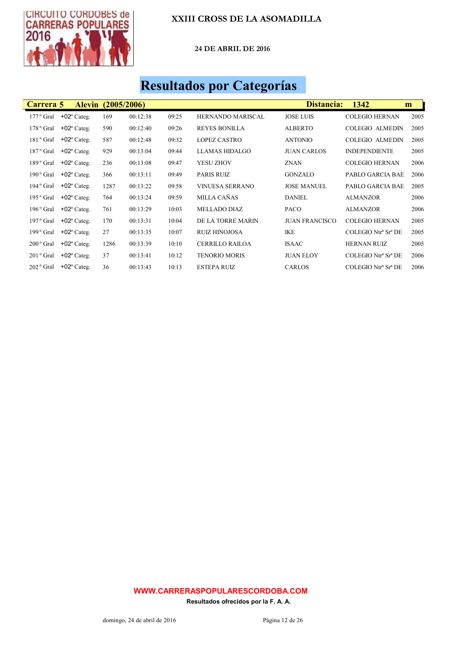

24 DE ABRIL DE 2016

# Resultados por Categorías

| Carrera 5          | <b>Alevin</b> (2005/2006) |      |          |       |                          | Distancia:            | 1342                   | m    |
|--------------------|---------------------------|------|----------|-------|--------------------------|-----------------------|------------------------|------|
| $177°$ Gral        | $+02^{\circ}$ Categ.      | 169  | 00:12:38 | 09:25 | <b>HERNANDO MARISCAL</b> | <b>JOSE LUIS</b>      | <b>COLEGIO HERNAN</b>  | 2005 |
| $178°$ Gral        | $+02^{\circ}$ Categ.      | 590  | 00:12:40 | 09:26 | <b>REYES BONILLA</b>     | <b>ALBERTO</b>        | <b>COLEGIO ALMEDIN</b> | 2005 |
| 181° Gral          | $+02^{\circ}$ Categ.      | 587  | 00:12:48 | 09:32 | <b>LOPEZ CASTRO</b>      | <b>ANTONIO</b>        | <b>COLEGIO ALMEDIN</b> | 2005 |
| 187° Gral          | $+02^{\circ}$ Categ.      | 929  | 00:13:04 | 09:44 | <b>LLAMAS HIDALGO</b>    | <b>JUAN CARLOS</b>    | <b>INDEPENDIENTE</b>   | 2005 |
| $189°$ Gral        | $+02^{\circ}$ Categ.      | 236  | 00:13:08 | 09:47 | YESU ZHOV                | <b>ZNAN</b>           | <b>COLEGIO HERNAN</b>  | 2006 |
| $190^{\circ}$ Gral | $+02^{\circ}$ Categ.      | 366  | 00:13:11 | 09:49 | <b>PARIS RUIZ</b>        | <b>GONZALO</b>        | PABLO GARCIA BAE       | 2006 |
| $194°$ Gral        | $+02^{\circ}$ Categ.      | 1287 | 00:13:22 | 09:58 | <b>VINUESA SERRANO</b>   | <b>JOSE MANUEL</b>    | PABLO GARCIA BAE       | 2005 |
| $195°$ Gral        | $+02^{\circ}$ Categ.      | 764  | 00:13:24 | 09:59 | MILLA CAÑAS              | <b>DANIEL</b>         | <b>ALMANZOR</b>        | 2006 |
| $196°$ Gral        | $+02^{\circ}$ Categ.      | 761  | 00:13:29 | 10:03 | <b>MELLADO DIAZ</b>      | PACO                  | <b>ALMANZOR</b>        | 2006 |
| $197°$ Gral        | $+02^{\circ}$ Categ.      | 170  | 00:13:31 | 10:04 | DE LA TORRE MARIN        | <b>JUAN FRANCISCO</b> | <b>COLEGIO HERNAN</b>  | 2005 |
| $199°$ Gral        | $+02^{\circ}$ Categ.      | 27   | 00:13:35 | 10:07 | <b>RUIZ HINOJOSA</b>     | <b>IKE</b>            | COLEGIO Ntrª Srª DE    | 2005 |
| $200^{\circ}$ Gral | $+02^{\circ}$ Categ.      | 1286 | 00:13:39 | 10:10 | <b>CERRILLO RAILOA</b>   | <b>ISAAC</b>          | <b>HERNAN RUIZ</b>     | 2005 |
| $201o$ Gral        | $+02^{\circ}$ Categ.      | 37   | 00:13:41 | 10:12 | <b>TENORIO MORIS</b>     | <b>JUAN ELOY</b>      | COLEGIO Ntrª Srª DE    | 2006 |
| $202°$ Gral        | $+02$ <sup>o</sup> Categ. | 36   | 00:13:43 | 10:13 | <b>ESTEPA RUIZ</b>       | <b>CARLOS</b>         | COLEGIO Ntrª Srª DE    | 2006 |

#### WWW.CARRERASPOPULARESCORDOBA.COM